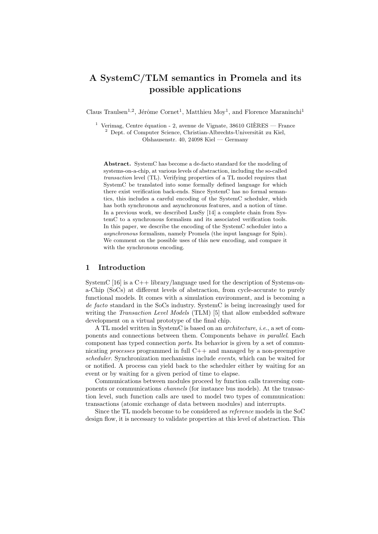# A SystemC/TLM semantics in Promela and its possible applications

Claus Traulsen<sup>1,2</sup>, Jérôme Cornet<sup>1</sup>, Matthieu Moy<sup>1</sup>, and Florence Maraninchi<sup>1</sup>

<sup>1</sup> Verimag, Centre équation - 2, avenue de Vignate, 38610 GIÈRES — France  $2$  Dept. of Computer Science, Christian-Albrechts-Universität zu Kiel, Olshausenstr. 40, 24098 Kiel — Germany

Abstract. SystemC has become a de-facto standard for the modeling of systems-on-a-chip, at various levels of abstraction, including the so-called transaction level (TL). Verifying properties of a TL model requires that SystemC be translated into some formally defined language for which there exist verification back-ends. Since SystemC has no formal semantics, this includes a careful encoding of the SystemC scheduler, which has both synchronous and asynchronous features, and a notion of time. In a previous work, we described LusSy [14] a complete chain from SystemC to a synchronous formalism and its associated verification tools. In this paper, we describe the encoding of the SystemC scheduler into a asynchronous formalism, namely Promela (the input language for Spin). We comment on the possible uses of this new encoding, and compare it with the synchronous encoding.

# 1 Introduction

SystemC [16] is a  $C_{++}$  library/language used for the description of Systems-ona-Chip (SoCs) at different levels of abstraction, from cycle-accurate to purely functional models. It comes with a simulation environment, and is becoming a de facto standard in the SoCs industry. SystemC is being increasingly used for writing the *Transaction Level Models* (TLM) [5] that allow embedded software development on a virtual prototype of the final chip.

A TL model written in SystemC is based on an architecture, i.e., a set of components and connections between them. Components behave in parallel. Each component has typed connection ports. Its behavior is given by a set of communicating processes programmed in full  $C++$  and managed by a non-preemptive scheduler. Synchronization mechanisms include events, which can be waited for or notified. A process can yield back to the scheduler either by waiting for an event or by waiting for a given period of time to elapse.

Communications between modules proceed by function calls traversing components or communications channels (for instance bus models). At the transaction level, such function calls are used to model two types of communication: transactions (atomic exchange of data between modules) and interrupts.

Since the TL models become to be considered as reference models in the SoC design flow, it is necessary to validate properties at this level of abstraction. This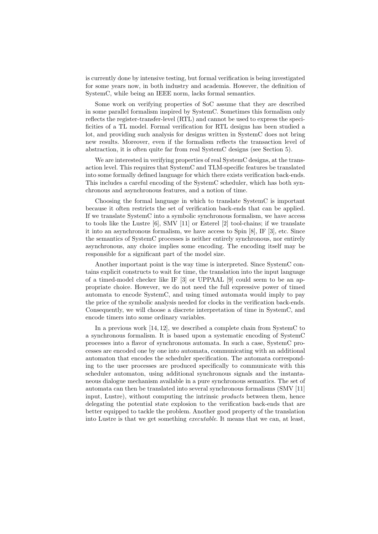is currently done by intensive testing, but formal verification is being investigated for some years now, in both industry and academia. However, the definition of SystemC, while being an IEEE norm, lacks formal semantics.

Some work on verifying properties of SoC assume that they are described in some parallel formalism inspired by SystemC. Sometimes this formalism only reflects the register-transfer-level (RTL) and cannot be used to express the specificities of a TL model. Formal verification for RTL designs has been studied a lot, and providing such analysis for designs written in SystemC does not bring new results. Moreover, even if the formalism reflects the transaction level of abstraction, it is often quite far from real SystemC designs (see Section 5).

We are interested in verifying properties of real SystemC designs, at the transaction level. This requires that SystemC and TLM-specific features be translated into some formally defined language for which there exists verification back-ends. This includes a careful encoding of the SystemC scheduler, which has both synchronous and asynchronous features, and a notion of time.

Choosing the formal language in which to translate SystemC is important because it often restricts the set of verification back-ends that can be applied. If we translate SystemC into a symbolic synchronous formalism, we have access to tools like the Lustre [6], SMV [11] or Esterel [2] tool-chains; if we translate it into an asynchronous formalism, we have access to Spin [8], IF [3], etc. Since the semantics of SystemC processes is neither entirely synchronous, nor entirely asynchronous, any choice implies some encoding. The encoding itself may be responsible for a significant part of the model size.

Another important point is the way time is interpreted. Since SystemC contains explicit constructs to wait for time, the translation into the input language of a timed-model checker like IF [3] or UPPAAL [9] could seem to be an appropriate choice. However, we do not need the full expressive power of timed automata to encode SystemC, and using timed automata would imply to pay the price of the symbolic analysis needed for clocks in the verification back-ends. Consequently, we will choose a discrete interpretation of time in SystemC, and encode timers into some ordinary variables.

In a previous work [14, 12], we described a complete chain from SystemC to a synchronous formalism. It is based upon a systematic encoding of SystemC processes into a flavor of synchronous automata. In such a case, SystemC processes are encoded one by one into automata, communicating with an additional automaton that encodes the scheduler specification. The automata corresponding to the user processes are produced specifically to communicate with this scheduler automaton, using additional synchronous signals and the instantaneous dialogue mechanism available in a pure synchronous semantics. The set of automata can then be translated into several synchronous formalisms (SMV [11] input, Lustre), without computing the intrinsic *products* between them, hence delegating the potential state explosion to the verification back-ends that are better equipped to tackle the problem. Another good property of the translation into Lustre is that we get something executable. It means that we can, at least,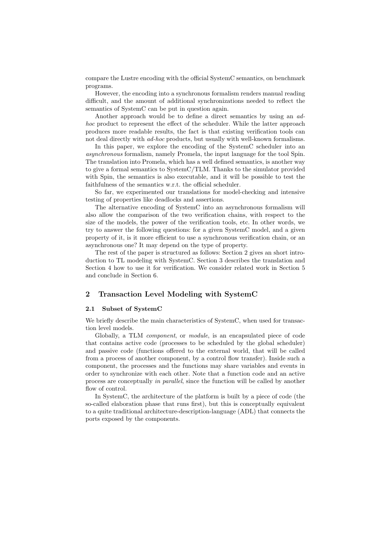compare the Lustre encoding with the official SystemC semantics, on benchmark programs.

However, the encoding into a synchronous formalism renders manual reading difficult, and the amount of additional synchronizations needed to reflect the semantics of SystemC can be put in question again.

Another approach would be to define a direct semantics by using an adhoc product to represent the effect of the scheduler. While the latter approach produces more readable results, the fact is that existing verification tools can not deal directly with *ad-hoc* products, but usually with well-known formalisms.

In this paper, we explore the encoding of the SystemC scheduler into an asynchronous formalism, namely Promela, the input language for the tool Spin. The translation into Promela, which has a well defined semantics, is another way to give a formal semantics to SystemC/TLM. Thanks to the simulator provided with Spin, the semantics is also executable, and it will be possible to test the faithfulness of the semantics w.r.t. the official scheduler.

So far, we experimented our translations for model-checking and intensive testing of properties like deadlocks and assertions.

The alternative encoding of SystemC into an asynchronous formalism will also allow the comparison of the two verification chains, with respect to the size of the models, the power of the verification tools, etc. In other words, we try to answer the following questions: for a given SystemC model, and a given property of it, is it more efficient to use a synchronous verification chain, or an asynchronous one? It may depend on the type of property.

The rest of the paper is structured as follows: Section 2 gives an short introduction to TL modeling with SystemC. Section 3 describes the translation and Section 4 how to use it for verification. We consider related work in Section 5 and conclude in Section 6.

# 2 Transaction Level Modeling with SystemC

### 2.1 Subset of SystemC

We briefly describe the main characteristics of SystemC, when used for transaction level models.

Globally, a TLM component, or module, is an encapsulated piece of code that contains active code (processes to be scheduled by the global scheduler) and passive code (functions offered to the external world, that will be called from a process of another component, by a control flow transfer). Inside such a component, the processes and the functions may share variables and events in order to synchronize with each other. Note that a function code and an active process are conceptually in parallel, since the function will be called by another flow of control.

In SystemC, the architecture of the platform is built by a piece of code (the so-called elaboration phase that runs first), but this is conceptually equivalent to a quite traditional architecture-description-language (ADL) that connects the ports exposed by the components.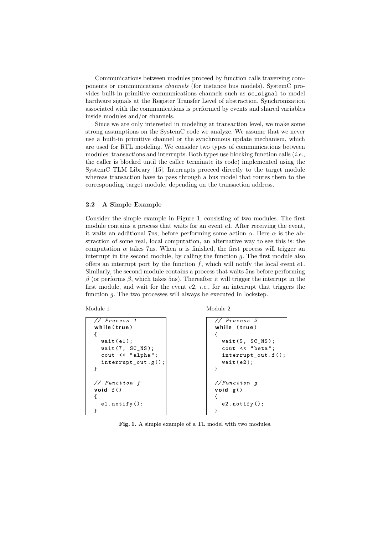Communications between modules proceed by function calls traversing components or communications channels (for instance bus models). SystemC provides built-in primitive communications channels such as sc\_signal to model hardware signals at the Register Transfer Level of abstraction. Synchronization associated with the communications is performed by events and shared variables inside modules and/or channels.

Since we are only interested in modeling at transaction level, we make some strong assumptions on the SystemC code we analyze. We assume that we never use a built-in primitive channel or the synchronous update mechanism, which are used for RTL modeling. We consider two types of communications between modules: transactions and interrupts. Both types use blocking function calls  $(i.e.,$ the caller is blocked until the callee terminate its code) implemented using the SystemC TLM Library [15]. Interrupts proceed directly to the target module whereas transaction have to pass through a bus model that routes them to the corresponding target module, depending on the transaction address.

### 2.2 A Simple Example

Consider the simple example in Figure 1, consisting of two modules. The first module contains a process that waits for an event  $e1$ . After receiving the event, it waits an additional 7ns, before performing some action  $\alpha$ . Here  $\alpha$  is the abstraction of some real, local computation, an alternative way to see this is: the computation  $\alpha$  takes 7ns. When  $\alpha$  is finished, the first process will trigger an interrupt in the second module, by calling the function g. The first module also offers an interrupt port by the function  $f$ , which will notify the local event  $e1$ . Similarly, the second module contains a process that waits 5ns before performing  $β$  (or performs  $β$ , which takes 5ns). Thereafter it will trigger the interrupt in the first module, and wait for the event  $e2$ , *i.e.*, for an interrupt that triggers the function g. The two processes will always be executed in lockstep.



Module 2

| // Process 1          | // Process 2          |
|-----------------------|-----------------------|
| while (true)          | while (true)          |
|                       |                       |
| wait(e1);             | $wait(5, SC_N)$ ;     |
| $wait(7, SC_N)$ ;     | cout << "beta";       |
| cout << "alpha";      | $interrupt_out.f()$ ; |
| $interrupt_out.g()$ ; | wait(e2);             |
|                       |                       |
| $//$ Function f       | //Function q          |
| void $f()$            | void g()              |
|                       |                       |
| $e1.notify()$ ;       | $e2.notify()$ ;       |
|                       |                       |

Fig. 1. A simple example of a TL model with two modules.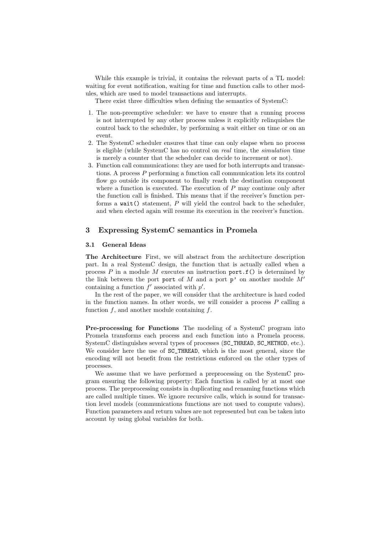While this example is trivial, it contains the relevant parts of a TL model: waiting for event notification, waiting for time and function calls to other modules, which are used to model transactions and interrupts.

There exist three difficulties when defining the semantics of SystemC:

- 1. The non-preemptive scheduler: we have to ensure that a running process is not interrupted by any other process unless it explicitly relinquishes the control back to the scheduler, by performing a wait either on time or on an event.
- 2. The SystemC scheduler ensures that time can only elapse when no process is eligible (while SystemC has no control on real time, the simulation time is merely a counter that the scheduler can decide to increment or not).
- 3. Function call communications: they are used for both interrupts and transactions. A process P performing a function call communication lets its control flow go outside its component to finally reach the destination component where a function is executed. The execution of  $P$  may continue only after the function call is finished. This means that if the receiver's function performs a wait() statement,  $P$  will yield the control back to the scheduler, and when elected again will resume its execution in the receiver's function.

### 3 Expressing SystemC semantics in Promela

#### 3.1 General Ideas

The Architecture First, we will abstract from the architecture description part. In a real SystemC design, the function that is actually called when a process P in a module M executes an instruction port.  $f()$  is determined by the link between the port port of M and a port  $p'$  on another module  $M'$ containing a function  $f'$  associated with  $p'$ .

In the rest of the paper, we will consider that the architecture is hard coded in the function names. In other words, we will consider a process  $P$  calling a function  $f$ , and another module containing  $f$ .

Pre-processing for Functions The modeling of a SystemC program into Promela transforms each process and each function into a Promela process. SystemC distinguishes several types of processes (SC\_THREAD, SC\_METHOD, etc.). We consider here the use of **SC\_THREAD**, which is the most general, since the encoding will not benefit from the restrictions enforced on the other types of processes.

We assume that we have performed a preprocessing on the SystemC program ensuring the following property: Each function is called by at most one process. The preprocessing consists in duplicating and renaming functions which are called multiple times. We ignore recursive calls, which is sound for transaction level models (communications functions are not used to compute values). Function parameters and return values are not represented but can be taken into account by using global variables for both.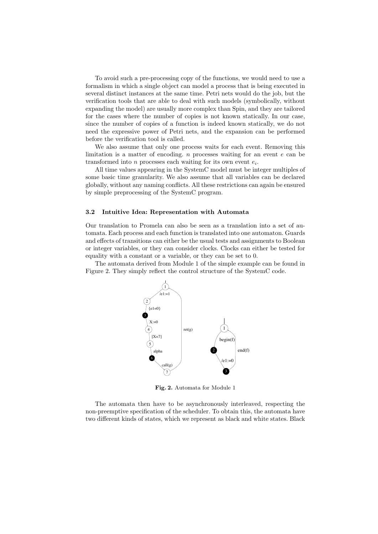To avoid such a pre-processing copy of the functions, we would need to use a formalism in which a single object can model a process that is being executed in several distinct instances at the same time. Petri nets would do the job, but the verification tools that are able to deal with such models (symbolically, without expanding the model) are usually more complex than Spin, and they are tailored for the cases where the number of copies is not known statically. In our case, since the number of copies of a function is indeed known statically, we do not need the expressive power of Petri nets, and the expansion can be performed before the verification tool is called.

We also assume that only one process waits for each event. Removing this limitation is a matter of encoding. *n* processes waiting for an event *e* can be transformed into  $n$  processes each waiting for its own event  $e_i$ .

All time values appearing in the SystemC model must be integer multiples of some basic time granularity. We also assume that all variables can be declared globally, without any naming conflicts. All these restrictions can again be ensured by simple preprocessing of the SystemC program.

### 3.2 Intuitive Idea: Representation with Automata

Our translation to Promela can also be seen as a translation into a set of automata. Each process and each function is translated into one automaton. Guards and effects of transitions can either be the usual tests and assignments to Boolean or integer variables, or they can consider clocks. Clocks can either be tested for equality with a constant or a variable, or they can be set to 0.

The automata derived from Module 1 of the simple example can be found in Figure 2. They simply reflect the control structure of the SystemC code.



Fig. 2. Automata for Module 1

The automata then have to be asynchronously interleaved, respecting the non-preemptive specification of the scheduler. To obtain this, the automata have two different kinds of states, which we represent as black and white states. Black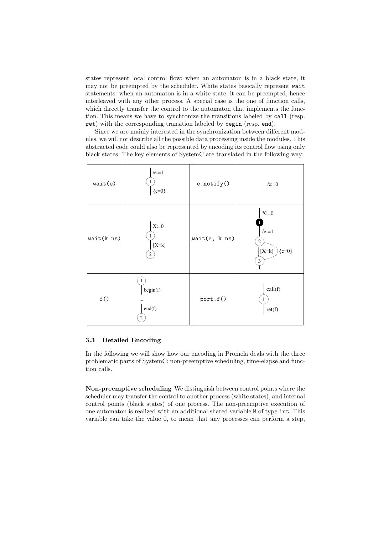states represent local control flow: when an automaton is in a black state, it may not be preempted by the scheduler. White states basically represent wait statements: when an automaton is in a white state, it can be preempted, hence interleaved with any other process. A special case is the one of function calls, which directly transfer the control to the automaton that implements the function. This means we have to synchronize the transitions labeled by call (resp. ret) with the corresponding transition labeled by begin (resp. end).

Since we are mainly interested in the synchronization between different modules, we will not describe all the possible data processing inside the modules. This abstracted code could also be represented by encoding its control flow using only black states. The key elements of SystemC are translated in the following way:

| wait(e)               | $/e:=1$<br>1<br>${e=0}$                           | e.notify()    | $/e:=0$                                                        |
|-----------------------|---------------------------------------------------|---------------|----------------------------------------------------------------|
| $\vert$ wait $(k$ ns) | $X:=0$<br>$\mathbf{1}$<br>$[X=k]$<br>$\mathbf{2}$ | wait(e, k ns) | $X:=0$<br>$/e:=1$<br>$\overline{c}$<br>$[X=k]$<br>${e=0}$<br>3 |
| f()                   | begin(f)<br><br>end(f)<br>2                       | port.f()      | call(f)<br>1<br>ret(f)                                         |

### 3.3 Detailed Encoding

In the following we will show how our encoding in Promela deals with the three problematic parts of SystemC: non-preemptive scheduling, time-elapse and function calls.

Non-preemptive scheduling We distinguish between control points where the scheduler may transfer the control to another process (white states), and internal control points (black states) of one process. The non-preemptive execution of one automaton is realized with an additional shared variable M of type int. This variable can take the value 0, to mean that any processes can perform a step,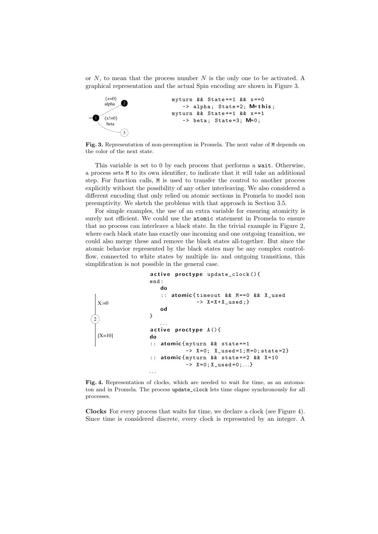or  $N$ , to mean that the process number  $N$  is the only one to be activated. A graphical representation and the actual Spin encoding are shown in Figure 3.



Fig. 3. Representation of non-preemption in Promela. The next value of M depends on the color of the next state.

This variable is set to 0 by each process that performs a wait. Otherwise, a process sets M to its own identifier, to indicate that it will take an additional step. For function calls, M is used to transfer the control to another process explicitly without the possibility of any other interleaving. We also considered a different encoding that only relied on atomic sections in Promela to model non preemptivity. We sketch the problems with that approach in Section 3.5.

For simple examples, the use of an extra variable for ensuring atomicity is surely not efficient. We could use the atomic statement in Promela to ensure that no process can interleave a black state. In the trivial example in Figure 2, where each black state has exactly one incoming and one outgoing transition, we could also merge these and remove the black states all-together. But since the atomic behavior represented by the black states may be any complex controlflow, connected to white states by multiple in- and outgoing transitions, this simplification is not possible in the general case.

```
2
\mid X:=0\vert [X=10]
                     active proctype update_clock(){
                     end :
                         do
                         :: atomic{timeout && M == 0 & & X_used
                                       \leftarrow X = X + X _ used ; }
                         od
                     }
                         . . .
                     active proctype A()do
                     :: atomic { myturn && state ==1
                                   - \times X = 0; X = use d = 1; M = 0; state = 2}
                         atomic {myturn && state == 2 && X=10
                                   \rightarrow X=0; X_used=0;...}
                     . . .
```
Fig. 4. Representation of clocks, which are needed to wait for time, as an automaton and in Promela. The process update\_clock lets time elapse synchronously for all processes.

Clocks For every process that waits for time, we declare a clock (see Figure 4). Since time is considered discrete, every clock is represented by an integer. A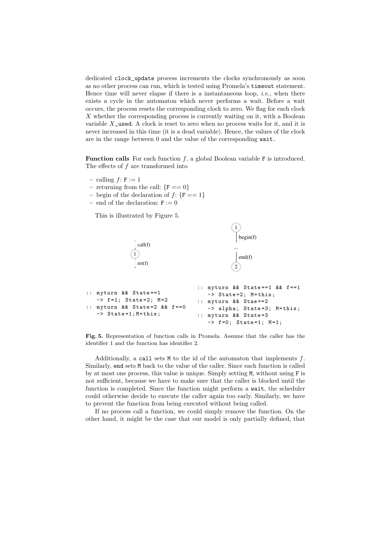dedicated clock\_update process increments the clocks synchronously as soon as no other process can run, which is tested using Promela's timeout statement. Hence time will never elapse if there is a instantaneous loop, *i.e.*, when there exists a cycle in the automaton which never performs a wait. Before a wait occurs, the process resets the corresponding clock to zero. We flag for each clock  $X$  whether the corresponding process is currently waiting on it, with a Boolean variable  $X$  used. A clock is reset to zero when no process waits for it, and it is never increased in this time (it is a dead variable). Hence, the values of the clock are in the range between 0 and the value of the corresponding wait.

**Function calls** For each function  $f$ , a global Boolean variable  $F$  is introduced. The effects of  $f$  are transformed into

- calling  $f: F := 1$
- returning from the call:  ${F = 0}$
- begin of the declaration of  $f: \{F == 1\}$
- end of the declaration:  $F := 0$

This is illustrated by Figure 5.



Fig. 5. Representation of function calls in Promela. Assume that the caller has the identifier 1 and the function has identifier 2.

Additionally, a call sets  $M$  to the id of the automaton that implements  $f$ . Similarly, end sets M back to the value of the caller. Since each function is called by at most one process, this value is unique. Simply setting M, without using F is not sufficient, because we have to make sure that the caller is blocked until the function is completed. Since the function might perform a wait, the scheduler could otherwise decide to execute the caller again too early. Similarly, we have to prevent the function from being executed without being called.

If no process call a function, we could simply remove the function. On the other hand, it might be the case that our model is only partially defined, that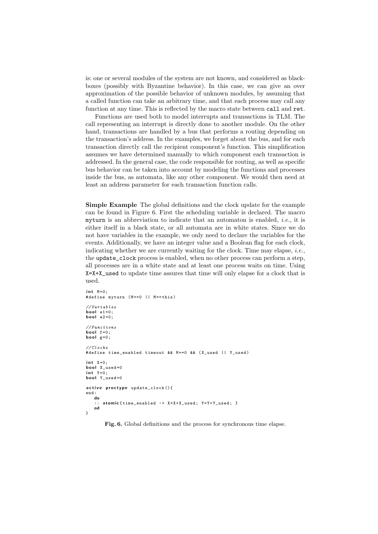is: one or several modules of the system are not known, and considered as blackboxes (possibly with Byzantine behavior). In this case, we can give an over approximation of the possible behavior of unknown modules, by assuming that a called function can take an arbitrary time, and that each process may call any function at any time. This is reflected by the macro state between call and ret.

Functions are used both to model interrupts and transactions in TLM. The call representing an interrupt is directly done to another module. On the other hand, transactions are handled by a bus that performs a routing depending on the transaction's address. In the examples, we forget about the bus, and for each transaction directly call the recipient component's function. This simplification assumes we have determined manually to which component each transaction is addressed. In the general case, the code responsible for routing, as well as specific bus behavior can be taken into account by modeling the functions and processes inside the bus, as automata, like any other component. We would then need at least an address parameter for each transaction function calls.

Simple Example The global definitions and the clock update for the example can be found in Figure 6. First the scheduling variable is declared. The macro myturn is an abbreviation to indicate that an automaton is enabled, i.e., it is either itself in a black state, or all automata are in white states. Since we do not have variables in the example, we only need to declare the variables for the events. Additionally, we have an integer value and a Boolean flag for each clock, indicating whether we are currently waiting for the clock. Time may elapse, *i.e.*, the update\_clock process is enabled, when no other process can perform a step, all processes are in a white state and at least one process waits on time. Using X=X+X\_used to update time assures that time will only elapse for a clock that is used.

```
int M=0;
# define myturn (M == 0 || M = = this)
// Variables
bool e1 = 0;
bool e2 = 0;
// Functions
bool f = 0;
bool g=0;// Clocks
# define time_enabled timeout && M ==0 && ( X_used || Y_used )
int X=0;
bool X used=0
int Y=0:
bool Y_used=0
active proctype update_clock(){
end :
   do
      atomic{time_enabled -> X=X+X_used; Y=Y+Y_used; }
   od
}
```
#### Fig. 6. Global definitions and the process for synchronous time elapse.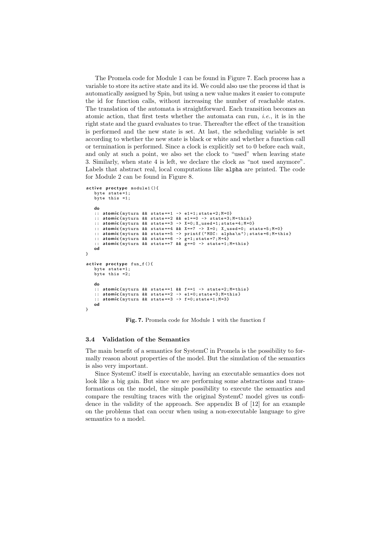The Promela code for Module 1 can be found in Figure 7. Each process has a variable to store its active state and its id. We could also use the process id that is automatically assigned by Spin, but using a new value makes it easier to compute the id for function calls, without increasing the number of reachable states. The translation of the automata is straightforward. Each transition becomes an atomic action, that first tests whether the automata can run, i.e., it is in the right state and the guard evaluates to true. Thereafter the effect of the transition is performed and the new state is set. At last, the scheduling variable is set according to whether the new state is black or white and whether a function call or termination is performed. Since a clock is explicitly set to 0 before each wait, and only at such a point, we also set the clock to "used" when leaving state 3. Similarly, when state 4 is left, we declare the clock as "not used anymore". Labels that abstract real, local computations like alpha are printed. The code for Module 2 can be found in Figure 8.

```
active proctype module1(){
    byte state =1;
   byte this =1:
   do
    :: atomic {myturn && state == 1 -> e1=1; state = 2; M=0}
    :: atomic {myturn && state==2 && e1==0 -> state=3; M=this}
    :: atomic {myturn && state == 3 -> X=0; X_used = 1; state = 4; M=0}
    :: atomic{myturn && state==4 && X==7 -> X=0; X_used=0; state=5;M=0}<br>:: atomic{myturn && state==5 -> printf ("MSC: alpha\n");state=6;M=this}
   :: atomic(myturn \& state == 6 \rightarrow ge=1; state == 7; M = 4:: atomic {myturn && state == 7 && gx = 0 -> state = 1; M = this }
   od
}
active proctype fun f()byte state =1;
    byte this =2;
    do
    :: atomic \{myturn && state == 1 && f == 1 -> state = 2; M=this }
    :: atomic \{mvturn && state == 2 -> e1=0; state = 3: M = this }
    :: atomic{myturn && state==3 -> f=0; state=1; M=3}
    od
}
```
Fig. 7. Promela code for Module 1 with the function f

#### 3.4 Validation of the Semantics

The main benefit of a semantics for SystemC in Promela is the possibility to formally reason about properties of the model. But the simulation of the semantics is also very important.

Since SystemC itself is executable, having an executable semantics does not look like a big gain. But since we are performing some abstractions and transformations on the model, the simple possibility to execute the semantics and compare the resulting traces with the original SystemC model gives us confidence in the validity of the approach. See appendix B of [12] for an example on the problems that can occur when using a non-executable language to give semantics to a model.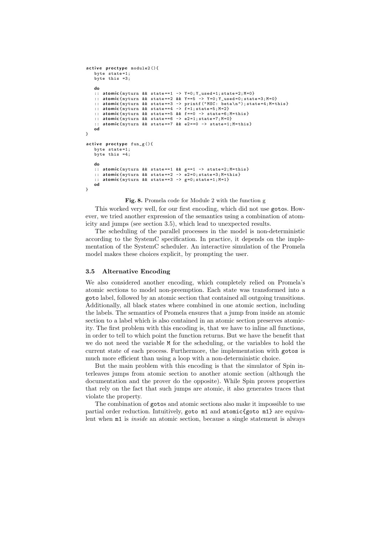```
active proctype module2(){
   byte state =1;
   byte this =3;
   do
   :: atomic { myturn & & state == 1 -> Y = 0; Y _ used = 1; state = 2; M = 0}
   :: atomic {myturn && state==2 && Y==5 -> Y=0; Y_used=0; state=3; M=0}
   :: atomic {myturn && state==3 -> printf ("MSC: beta \n"); state=4; M=this }
   :: atomic{myturn && state==4 -> f=1; state=5; M=2}
   :: atomic {myturn && state == 5 && f == 0 -> state = 6; M=this }
   :: atomic { myturn & & state == 6 -> e2=1; state = 7; M=0}
   :: atomic {myturn && state == 7 && e2 == 0 -> state = 1; M = this }
   od
}
active proctype fun_g(){
   byte state =1;
   byte this =4;
   do
   :: atomic {myturn && state == 1 && g == 1 -> state = 2; M = this }
   :: atomic{myturn && state==2 -> e2=0; state=3; M=this}
      atomic {myturn && state == 3 -> g = 0; state = 1; M = 1}
   od
}
```
#### Fig. 8. Promela code for Module 2 with the function g

This worked very well, for our first encoding, which did not use gotos. However, we tried another expression of the semantics using a combination of atomicity and jumps (see section 3.5), which lead to unexpected results.

The scheduling of the parallel processes in the model is non-deterministic according to the SystemC specification. In practice, it depends on the implementation of the SystemC scheduler. An interactive simulation of the Promela model makes these choices explicit, by prompting the user.

#### 3.5 Alternative Encoding

We also considered another encoding, which completely relied on Promela's atomic sections to model non-preemption. Each state was transformed into a goto label, followed by an atomic section that contained all outgoing transitions. Additionally, all black states where combined in one atomic section, including the labels. The semantics of Promela ensures that a jump from inside an atomic section to a label which is also contained in an atomic section preserves atomicity. The first problem with this encoding is, that we have to inline all functions, in order to tell to which point the function returns. But we have the benefit that we do not need the variable M for the scheduling, or the variables to hold the current state of each process. Furthermore, the implementation with gotos is much more efficient than using a loop with a non-deterministic choice.

But the main problem with this encoding is that the simulator of Spin interleaves jumps from atomic section to another atomic section (although the documentation and the prover do the opposite). While Spin proves properties that rely on the fact that such jumps are atomic, it also generates traces that violate the property.

The combination of gotos and atomic sections also make it impossible to use partial order reduction. Intuitively, goto m1 and atomic{goto m1} are equivalent when  $m1$  is *inside* an atomic section, because a single statement is always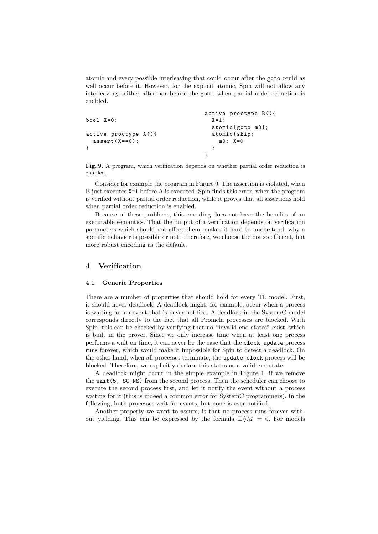atomic and every possible interleaving that could occur after the goto could as well occur before it. However, for the explicit atomic, Spin will not allow any interleaving neither after nor before the goto, when partial order reduction is enabled.

```
bool X=0;
active proctype A (){
  assert(X == 0);}
                                       active proctype B (){
                                         X = 1;atomic { goto m0 };
                                         atomic { skip ;
                                           m0: X=0}
                                       }
```
Fig. 9. A program, which verification depends on whether partial order reduction is enabled.

Consider for example the program in Figure 9. The assertion is violated, when B just executes X=1 before A is executed. Spin finds this error, when the program is verified without partial order reduction, while it proves that all assertions hold when partial order reduction is enabled.

Because of these problems, this encoding does not have the benefits of an executable semantics. That the output of a verification depends on verification parameters which should not affect them, makes it hard to understand, why a specific behavior is possible or not. Therefore, we choose the not so efficient, but more robust encoding as the default.

### 4 Verification

#### 4.1 Generic Properties

There are a number of properties that should hold for every TL model. First, it should never deadlock. A deadlock might, for example, occur when a process is waiting for an event that is never notified. A deadlock in the SystemC model corresponds directly to the fact that all Promela processes are blocked. With Spin, this can be checked by verifying that no "invalid end states" exist, which is built in the prover. Since we only increase time when at least one process performs a wait on time, it can never be the case that the clock\_update process runs forever, which would make it impossible for Spin to detect a deadlock. On the other hand, when all processes terminate, the update\_clock process will be blocked. Therefore, we explicitly declare this states as a valid end state.

A deadlock might occur in the simple example in Figure 1, if we remove the wait( $5$ , SC\_NS) from the second process. Then the scheduler can choose to execute the second process first, and let it notify the event without a process waiting for it (this is indeed a common error for SystemC programmers). In the following, both processes wait for events, but none is ever notified.

Another property we want to assure, is that no process runs forever without yielding. This can be expressed by the formula  $\Box \Diamond M = 0$ . For models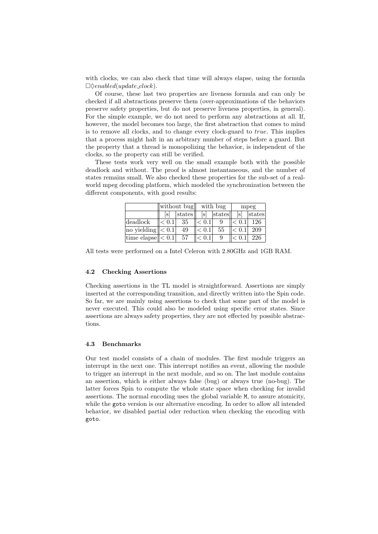with clocks, we can also check that time will always elapse, using the formula  $\Box \Diamond enabled(update\_clock).$ 

Of course, these last two properties are liveness formula and can only be checked if all abstractions preserve them (over-approximations of the behaviors preserve safety properties, but do not preserve liveness properties, in general). For the simple example, we do not need to perform any abstractions at all. If, however, the model becomes too large, the first abstraction that comes to mind is to remove all clocks, and to change every clock-guard to true. This implies that a process might halt in an arbitrary number of steps before a guard. But the property that a thread is monopolizing the behavior, is independent of the clocks, so the property can still be verified.

These tests work very well on the small example both with the possible deadlock and without. The proof is almost instantaneous, and the number of states remains small. We also checked these properties for the sub-set of a realworld mpeg decoding platform, which modeled the synchronization between the different components, with good results:

|                         | without bug |                   |                   | with bug | mpeg        |        |  |
|-------------------------|-------------|-------------------|-------------------|----------|-------------|--------|--|
|                         | lsl         | $ \text{states} $ | s                 | states   | $ {\bf s} $ | states |  |
| deadlock                | < 0.1       | 35                | < 0.1             |          | < 0.1       | 126    |  |
| $ no$ yielding $ < 0.1$ |             | 49                | $\parallel < 0.1$ | 55       | < 0.1       | 209    |  |
| time elapse $ < 0.1 $   |             | -57               | $\parallel < 0.1$ |          | < 0.1       | 226    |  |

All tests were performed on a Intel Celeron with 2.80GHz and 1GB RAM.

### 4.2 Checking Assertions

Checking assertions in the TL model is straightforward. Assertions are simply inserted at the corresponding transition, and directly written into the Spin code. So far, we are mainly using assertions to check that some part of the model is never executed. This could also be modeled using specific error states. Since assertions are always safety properties, they are not effected by possible abstractions.

## 4.3 Benchmarks

Our test model consists of a chain of modules. The first module triggers an interrupt in the next one. This interrupt notifies an event, allowing the module to trigger an interrupt in the next module, and so on. The last module contains an assertion, which is either always false (bug) or always true (no-bug). The latter forces Spin to compute the whole state space when checking for invalid assertions. The normal encoding uses the global variable M, to assure atomicity, while the goto version is our alternative encoding. In order to allow all intended behavior, we disabled partial oder reduction when checking the encoding with goto.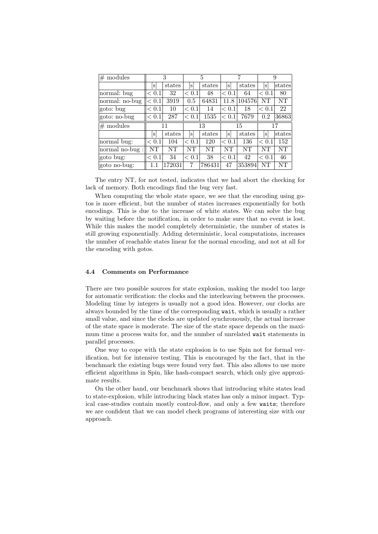| #<br>modules   | 3           |        | 5           |        | 7              |        | 9     |        |
|----------------|-------------|--------|-------------|--------|----------------|--------|-------|--------|
|                | ls          | states | $ {\bf s} $ | states | S              | states | ls    | states |
| normal: bug    | < 0.1       | 32     | < 0.1       | 48     | < 0.1          | 64     | < 0.1 | 80     |
| normal: no-bug | < 0.1       | 3919   | 0.5         | 64831  | 11.8           | 104576 | NΤ    | NΤ     |
| goto: bug      | < 0.1       | 10     | < 0.1       | 14     | < 0.1          | 18     | < 0.1 | 22     |
| goto: no-bug   | < 0.1       | 287    | < 0.1       | 1535   | < 0.1          | 7679   | 0.2   | 36863  |
| #<br>modules   | 11          |        | 13          |        | 15             |        | 17    |        |
|                | $ {\bf S} $ | states | $ {\bf s} $ | states | $ \mathbf{S} $ | states | ls    | states |
| normal bug:    | < 0.1       | 104    | < 0.1       | 120    | < 0.1          | 136    | < 0.1 | 152    |
| normal no-bug: | <b>NT</b>   | NΤ     | NT          | NΤ     | NΤ             | NΤ     | NΤ    | NΤ     |
| goto bug:      | < 0.1       | 34     | < 0.1       | 38     | < 0.1          | 42     | < 0.1 | 46     |
| goto no-bug:   | 1.1         | 72031  | 7           | 786431 | 47             | 353894 | NΤ    | NΤ     |

The entry NT, for not tested, indicates that we had abort the checking for lack of memory. Both encodings find the bug very fast.

When computing the whole state space, we see that the encoding using gotos is more efficient, but the number of states increases exponentially for both encodings. This is due to the increase of white states. We can solve the bug by waiting before the notification, in order to make sure that no event is lost. While this makes the model completely deterministic, the number of states is still growing exponentially. Adding deterministic, local computations, increases the number of reachable states linear for the normal encoding, and not at all for the encoding with gotos.

#### 4.4 Comments on Performance

There are two possible sources for state explosion, making the model too large for automatic verification: the clocks and the interleaving between the processes. Modeling time by integers is usually not a good idea. However, our clocks are always bounded by the time of the corresponding wait, which is usually a rather small value, and since the clocks are updated synchronously, the actual increase of the state space is moderate. The size of the state space depends on the maximum time a process waits for, and the number of unrelated wait statements in parallel processes.

One way to cope with the state explosion is to use Spin not for formal verification, but for intensive testing. This is encouraged by the fact, that in the benchmark the existing bugs were found very fast. This also allows to use more efficient algorithms in Spin, like hash-compact search, which only give approximate results.

On the other hand, our benchmark shows that introducing white states lead to state-explosion, while introducing black states has only a minor impact. Typical case-studies contain mostly control-flow, and only a few waits; therefore we are confident that we can model check programs of interesting size with our approach.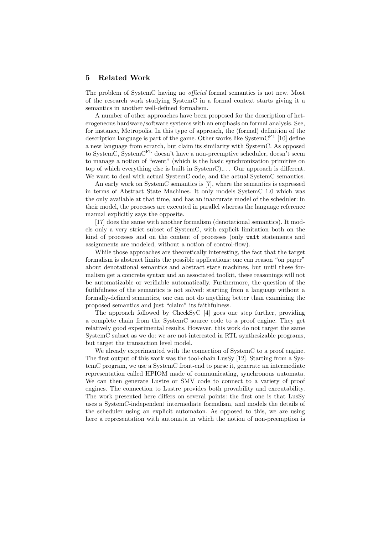### 5 Related Work

The problem of SystemC having no official formal semantics is not new. Most of the research work studying SystemC in a formal context starts giving it a semantics in another well-defined formalism.

A number of other approaches have been proposed for the description of heterogeneous hardware/software systems with an emphasis on formal analysis. See, for instance, Metropolis. In this type of approach, the (formal) definition of the description language is part of the game. Other works like SystemC<sup>FL</sup> [10] define a new language from scratch, but claim its similarity with SystemC. As opposed to SystemC, SystemC<sup>FL</sup> doesn't have a non-preemptive scheduler, doesn't seem to manage a notion of "event" (which is the basic synchronization primitive on top of which everything else is built in  $SystemC)$ ,... Our approach is different. We want to deal with actual SystemC code, and the actual SystemC semantics.

An early work on SystemC semantics is [7], where the semantics is expressed in terms of Abstract State Machines. It only models SystemC 1.0 which was the only available at that time, and has an inaccurate model of the scheduler: in their model, the processes are executed in parallel whereas the language reference manual explicitly says the opposite.

[17] does the same with another formalism (denotational semantics). It models only a very strict subset of SystemC, with explicit limitation both on the kind of processes and on the content of processes (only wait statements and assignments are modeled, without a notion of control-flow).

While those approaches are theoretically interesting, the fact that the target formalism is abstract limits the possible applications: one can reason "on paper" about denotational semantics and abstract state machines, but until these formalism get a concrete syntax and an associated toolkit, these reasonings will not be automatizable or verifiable automatically. Furthermore, the question of the faithfulness of the semantics is not solved: starting from a language without a formally-defined semantics, one can not do anything better than examining the proposed semantics and just "claim" its faithfulness.

The approach followed by CheckSyC [4] goes one step further, providing a complete chain from the SystemC source code to a proof engine. They get relatively good experimental results. However, this work do not target the same SystemC subset as we do: we are not interested in RTL synthesizable programs, but target the transaction level model.

We already experimented with the connection of SystemC to a proof engine. The first output of this work was the tool-chain LusSy [12]. Starting from a SystemC program, we use a SystemC front-end to parse it, generate an intermediate representation called HPIOM made of communicating, synchronous automata. We can then generate Lustre or SMV code to connect to a variety of proof engines. The connection to Lustre provides both provability and executability. The work presented here differs on several points: the first one is that LusSy uses a SystemC-independent intermediate formalism, and models the details of the scheduler using an explicit automaton. As opposed to this, we are using here a representation with automata in which the notion of non-preemption is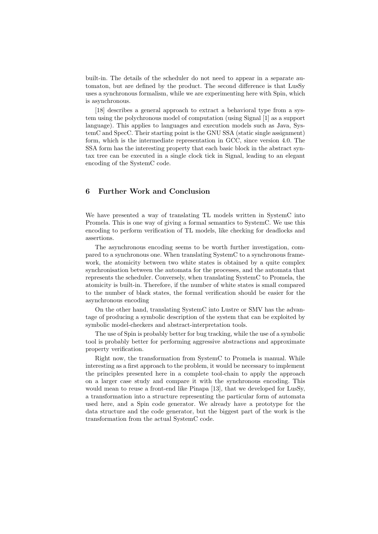built-in. The details of the scheduler do not need to appear in a separate automaton, but are defined by the product. The second difference is that LusSy uses a synchronous formalism, while we are experimenting here with Spin, which is asynchronous.

[18] describes a general approach to extract a behavioral type from a system using the polychronous model of computation (using Signal [1] as a support language). This applies to languages and execution models such as Java, SystemC and SpecC. Their starting point is the GNU SSA (static single assignment) form, which is the intermediate representation in GCC, since version 4.0. The SSA form has the interesting property that each basic block in the abstract syntax tree can be executed in a single clock tick in Signal, leading to an elegant encoding of the SystemC code.

# 6 Further Work and Conclusion

We have presented a way of translating TL models written in SystemC into Promela. This is one way of giving a formal semantics to SystemC. We use this encoding to perform verification of TL models, like checking for deadlocks and assertions.

The asynchronous encoding seems to be worth further investigation, compared to a synchronous one. When translating SystemC to a synchronous framework, the atomicity between two white states is obtained by a quite complex synchronisation between the automata for the processes, and the automata that represents the scheduler. Conversely, when translating SystemC to Promela, the atomicity is built-in. Therefore, if the number of white states is small compared to the number of black states, the formal verification should be easier for the asynchronous encoding

On the other hand, translating SystemC into Lustre or SMV has the advantage of producing a symbolic description of the system that can be exploited by symbolic model-checkers and abstract-interpretation tools.

The use of Spin is probably better for bug tracking, while the use of a symbolic tool is probably better for performing aggressive abstractions and approximate property verification.

Right now, the transformation from SystemC to Promela is manual. While interesting as a first approach to the problem, it would be necessary to implement the principles presented here in a complete tool-chain to apply the approach on a larger case study and compare it with the synchronous encoding. This would mean to reuse a front-end like Pinapa [13], that we developed for LusSy, a transformation into a structure representing the particular form of automata used here, and a Spin code generator. We already have a prototype for the data structure and the code generator, but the biggest part of the work is the transformation from the actual SystemC code.